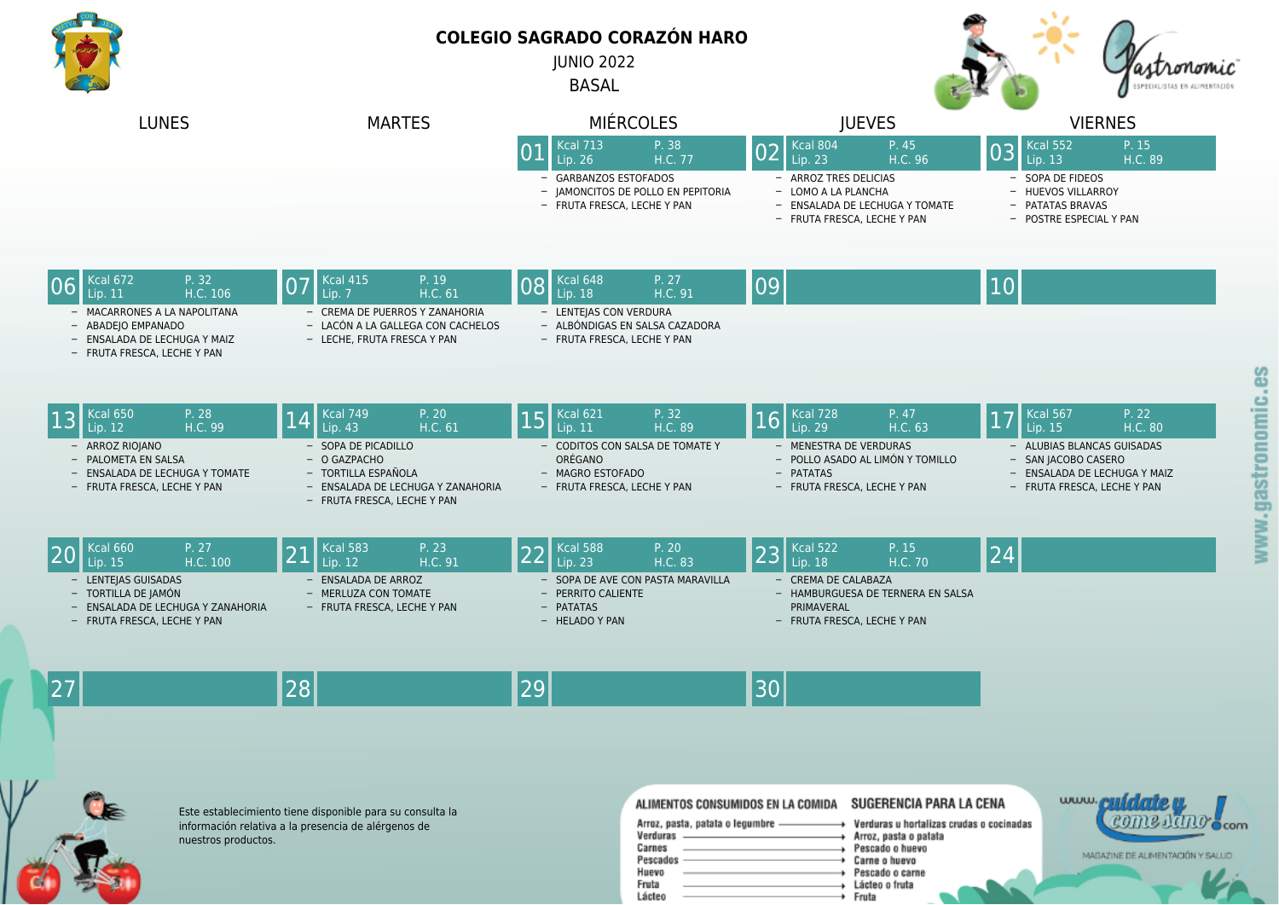

Este establecimiento tiene disponible para su consulta la información relativa a la presencia de alérgenos de

nuestros productos.

 $\mathbf{R}$ 

## **COLEGIO SAGRADO CORAZÓN HARO**

JUNIO 2022

BASAL



| <b>LUNES</b>                                                                                                                                                           | <b>MARTES</b>                                                                                                                                                                             | <b>MIERCOLES</b>                                                                                                                                                    | <b>JUEVES</b>                                                                                                                                                  | <b>VIERNES</b>                                                                                                                                                                        |
|------------------------------------------------------------------------------------------------------------------------------------------------------------------------|-------------------------------------------------------------------------------------------------------------------------------------------------------------------------------------------|---------------------------------------------------------------------------------------------------------------------------------------------------------------------|----------------------------------------------------------------------------------------------------------------------------------------------------------------|---------------------------------------------------------------------------------------------------------------------------------------------------------------------------------------|
|                                                                                                                                                                        |                                                                                                                                                                                           | <b>Kcal 713</b><br>P. 38<br>0 <sub>1</sub><br>H.C. 77<br>Lip. 26<br><b>GARBANZOS ESTOFADOS</b><br>- JAMONCITOS DE POLLO EN PEPITORIA<br>- FRUTA FRESCA, LECHE Y PAN | Kcal 804<br>P. 45<br>02<br>H.C. 96<br>Lip. 23<br>- ARROZ TRES DELICIAS<br>- LOMO A LA PLANCHA<br>- ENSALADA DE LECHUGA Y TOMATE<br>- FRUTA FRESCA, LECHE Y PAN | Kcal 552<br>P. 15<br>03<br>H.C. 89<br>Lip. 13<br>- SOPA DE FIDEOS<br>- HUEVOS VILLARROY<br>- PATATAS BRAVAS<br>- POSTRE ESPECIAL Y PAN                                                |
| <b>Kcal 672</b><br>P. 32<br>H.C. 106<br>Lip. $11$<br>- MACARRONES A LA NAPOLITANA<br>- ABADEJO EMPANADO<br>- ENSALADA DE LECHUGA Y MAIZ<br>- FRUTA FRESCA, LECHE Y PAN | <b>Kcal 415</b><br>P. 19<br>07<br>H.C. 61<br>Lip. 7<br>- CREMA DE PUERROS Y ZANAHORIA<br>- LACÓN A LA GALLEGA CON CACHELOS<br>- LECHE, FRUTA FRESCA Y PAN                                 | Kcal 648<br>P. 27<br>08<br>Lip. 18<br>H.C. 91<br>- LENTEJAS CON VERDURA<br>- ALBÓNDIGAS EN SALSA CAZADORA<br>- FRUTA FRESCA, LECHE Y PAN                            | 09                                                                                                                                                             | 10                                                                                                                                                                                    |
| <b>Kcal 650</b><br>P. 28<br> 13<br>H.C. 99<br>Lip. 12<br>- ARROZ RIOJANO<br>- PALOMETA EN SALSA<br>- ENSALADA DE LECHUGA Y TOMATE<br>- FRUTA FRESCA, LECHE Y PAN       | <b>Kcal 749</b><br>P. 20<br> 14<br>Lip. $43$<br>H.C. 61<br>- SOPA DE PICADILLO<br>- O GAZPACHO<br>- TORTILLA ESPAÑOLA<br>- ENSALADA DE LECHUGA Y ZANAHORIA<br>- FRUTA FRESCA, LECHE Y PAN | $Kcal$ 621<br>P. 32<br>15<br>H.C. 89<br>Lip. 11<br>CODITOS CON SALSA DE TOMATE Y<br>ORÉGANO<br>- MAGRO ESTOFADO<br>- FRUTA FRESCA, LECHE Y PAN                      | Kcal 728<br>P. 47<br>16<br>Lip. 29<br>H.C. 63<br>- MENESTRA DE VERDURAS<br>- POLLO ASADO AL LIMÓN Y TOMILLO<br>- PATATAS<br>- FRUTA FRESCA, LECHE Y PAN        | <b>Kcal 567</b><br>P. 22<br>$\overline{17}$<br>Lip. 15<br>H.C. 80<br>- ALUBIAS BLANCAS GUISADAS<br>- SAN JACOBO CASERO<br>- ENSALADA DE LECHUGA Y MAIZ<br>- FRUTA FRESCA, LECHE Y PAN |
| <b>Kcal 660</b><br>P. 27<br>H.C. 100<br>Lip. 15<br>- LENTEIAS GUISADAS<br>- TORTILLA DE JAMÓN<br>- ENSALADA DE LECHUGA Y ZANAHORIA<br>- FRUTA FRESCA, LECHE Y PAN      | <b>Kcal 583</b><br>P. 23<br>21<br>Lip. 12<br>H.C. 91<br>- ENSALADA DE ARROZ<br>- MERLUZA CON TOMATE<br>- FRUTA FRESCA, LECHE Y PAN                                                        | <b>Kcal 588</b><br>P. 20<br>22<br>H.C. 83<br>Lip. 23<br>SOPA DE AVE CON PASTA MARAVILLA<br>- PERRITO CALIENTE<br>- PATATAS<br>- HELADO Y PAN                        | P. 15<br><b>Kcal 522</b><br>23<br>Lip. 18<br>H.C. 70<br>- CREMA DE CALABAZA<br>- HAMBURGUESA DE TERNERA EN SALSA<br>PRIMAVERAL<br>- FRUTA FRESCA, LECHE Y PAN  | 24                                                                                                                                                                                    |
| 27                                                                                                                                                                     | 28                                                                                                                                                                                        | 29                                                                                                                                                                  | 30                                                                                                                                                             |                                                                                                                                                                                       |
| ◚                                                                                                                                                                      |                                                                                                                                                                                           |                                                                                                                                                                     |                                                                                                                                                                | <u>contact conformation</u>                                                                                                                                                           |